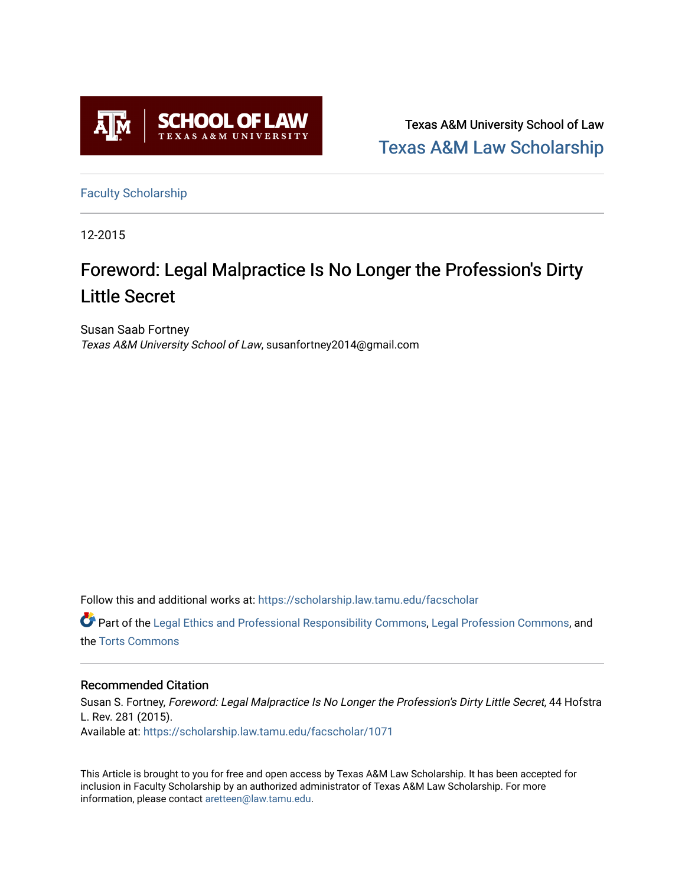

Texas A&M University School of Law [Texas A&M Law Scholarship](https://scholarship.law.tamu.edu/) 

[Faculty Scholarship](https://scholarship.law.tamu.edu/facscholar)

12-2015

# Foreword: Legal Malpractice Is No Longer the Profession's Dirty Little Secret

Susan Saab Fortney Texas A&M University School of Law, susanfortney2014@gmail.com

Follow this and additional works at: [https://scholarship.law.tamu.edu/facscholar](https://scholarship.law.tamu.edu/facscholar?utm_source=scholarship.law.tamu.edu%2Ffacscholar%2F1071&utm_medium=PDF&utm_campaign=PDFCoverPages) 

Part of the [Legal Ethics and Professional Responsibility Commons](http://network.bepress.com/hgg/discipline/895?utm_source=scholarship.law.tamu.edu%2Ffacscholar%2F1071&utm_medium=PDF&utm_campaign=PDFCoverPages), [Legal Profession Commons](http://network.bepress.com/hgg/discipline/1075?utm_source=scholarship.law.tamu.edu%2Ffacscholar%2F1071&utm_medium=PDF&utm_campaign=PDFCoverPages), and the [Torts Commons](http://network.bepress.com/hgg/discipline/913?utm_source=scholarship.law.tamu.edu%2Ffacscholar%2F1071&utm_medium=PDF&utm_campaign=PDFCoverPages)

### Recommended Citation

Susan S. Fortney, Foreword: Legal Malpractice Is No Longer the Profession's Dirty Little Secret, 44 Hofstra L. Rev. 281 (2015). Available at: [https://scholarship.law.tamu.edu/facscholar/1071](https://scholarship.law.tamu.edu/facscholar/1071?utm_source=scholarship.law.tamu.edu%2Ffacscholar%2F1071&utm_medium=PDF&utm_campaign=PDFCoverPages) 

This Article is brought to you for free and open access by Texas A&M Law Scholarship. It has been accepted for inclusion in Faculty Scholarship by an authorized administrator of Texas A&M Law Scholarship. For more information, please contact [aretteen@law.tamu.edu](mailto:aretteen@law.tamu.edu).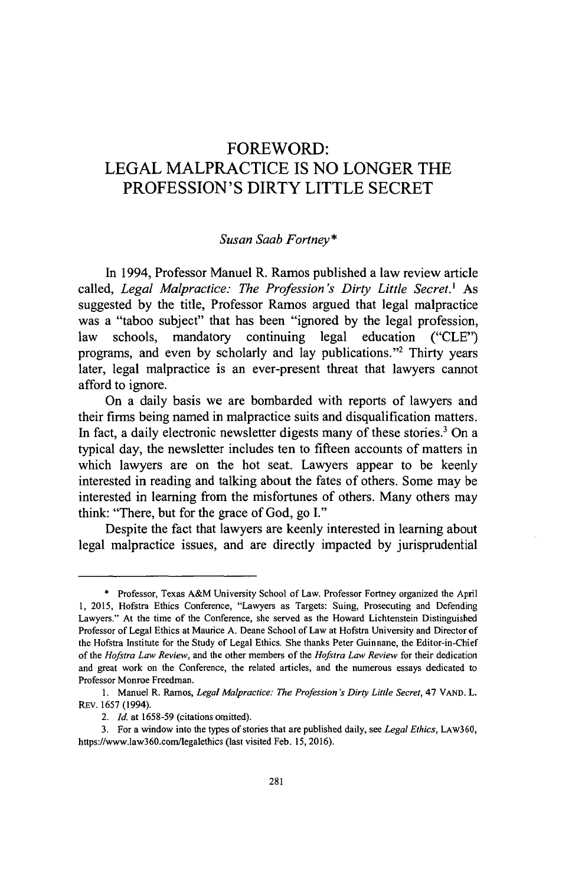## FOREWORD: LEGAL MALPRACTICE IS NO LONGER THE PROFESSION'S DIRTY LITTLE SECRET

#### *Susan Saab Fortney\**

In 1994, Professor Manuel R. Ramos published a law review article called, *Legal Malpractice: The Profession's Dirty Little Secret.'* As suggested by the title, Professor Ramos argued that legal malpractice was a "taboo subject" that has been "ignored by the legal profession, law schools, mandatory continuing legal education ("CLE") programs, and even by scholarly and lay publications."<sup>2</sup> Thirty years later, legal malpractice is an ever-present threat that lawyers cannot afford to ignore.

On a daily basis we are bombarded with reports of lawyers and their firms being named in malpractice suits and disqualification matters. In fact, a daily electronic newsletter digests many of these stories.<sup>3</sup> On a typical day, the newsletter includes ten to fifteen accounts of matters in which lawyers are on the hot seat. Lawyers appear to be keenly interested in reading and talking about the fates of others. Some may be interested in learning from the misfortunes of others. Many others may think: "There, but for the grace of God, go I."

Despite the fact that lawyers are keenly interested in learning about legal malpractice issues, and are directly impacted by jurisprudential

<sup>\*</sup> Professor, Texas A&M University School of Law. Professor Fortney organized the April 1, 2015, Hofstra Ethics Conference, "Lawyers as Targets: Suing, Prosecuting and Defending Lawyers." At the time of the Conference, she served as the Howard Lichtenstein Distinguished Professor of Legal Ethics at Maurice A. Deane School of Law at Hofstra University and Director **of** the Hofstra Institute for the Study of Legal Ethics. She thanks Peter Guinnane, the Editor-in-Chief of the *Hofstra Law Review,* and the other members of the *Hofstra Law Review* for their dedication and great work on the Conference, the related articles, and the numerous essays dedicated to Professor Monroe Freedman.

<sup>1.</sup> Manuel R. Ramos, *Legal Malpractice: The Profession 's Dirty Little Secret,* 47 VAND. L. REv. 1657 (1994).

*<sup>2.</sup> Id.* at 1658-59 (citations omitted).

<sup>3.</sup> For a window into the types of stories that are published daily, see *Legal Ethics,* LAw360, https://www.law360.com/legalethics (last visited Feb. 15, 2016).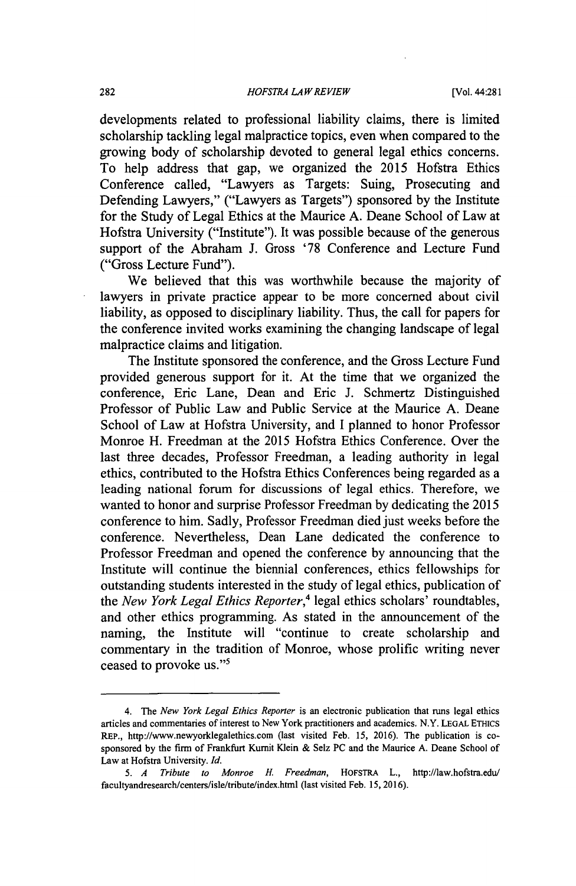developments related to professional liability claims, there is limited scholarship tackling legal malpractice topics, even when compared to the growing body of scholarship devoted to general legal ethics concerns. To help address that gap, we organized the 2015 Hofstra Ethics Conference called, "Lawyers as Targets: Suing, Prosecuting and Defending Lawyers," ("Lawyers as Targets") sponsored by the Institute for the Study of Legal Ethics at the Maurice A. Deane School of Law at Hofstra University ("Institute"). It was possible because of the generous support of the Abraham J. Gross '78 Conference and Lecture Fund ("Gross Lecture Fund").

We believed that this was worthwhile because the majority of lawyers in private practice appear to be more concerned about civil liability, as opposed to disciplinary liability. Thus, the call for papers for the conference invited works examining the changing landscape of legal malpractice claims and litigation.

The Institute sponsored the conference, and the Gross Lecture Fund provided generous support for it. At the time that we organized the conference, Eric Lane, Dean and Eric J. Schmertz Distinguished Professor of Public Law and Public Service at the Maurice A. Deane School of Law at Hofstra University, and I planned to honor Professor Monroe H. Freedman at the 2015 Hofstra Ethics Conference. Over the last three decades, Professor Freedman, a leading authority in legal ethics, contributed to the Hofstra Ethics Conferences being regarded as a leading national forum for discussions of legal ethics. Therefore, we wanted to honor and surprise Professor Freedman by dedicating the 2015 conference to him. Sadly, Professor Freedman died just weeks before the conference. Nevertheless, Dean Lane dedicated the conference to Professor Freedman and opened the conference by announcing that the Institute will continue the biennial conferences, ethics fellowships for outstanding students interested in the study of legal ethics, publication of the *New York Legal Ethics Reporter,<sup>4</sup>*legal ethics scholars' roundtables, and other ethics programming. As stated in the announcement of the naming, the Institute will "continue to create scholarship and commentary in the tradition of Monroe, whose prolific writing never ceased to provoke us."<sup>5</sup>

<sup>4.</sup> The *New York Legal Ethics Reporter* is an electronic publication that runs legal ethics articles and commentaries of interest to New York practitioners and academics. N.Y. LEGAL ETHics REP., http://www.newyorklegalethics.com (last visited Feb. 15, 2016). The publication is cosponsored by the firm of Frankfurt Kumit Klein & Selz PC and the Maurice A. Deane School of Law at Hofstra University. *Id.*

*<sup>5.</sup> A Tribute to Monroe* H. *Freedman,* HOFsTRA L., http://law.hofstra.edu/ facultyandresearch/centers/isle/tribute/index.html (last visited Feb. 15, 2016).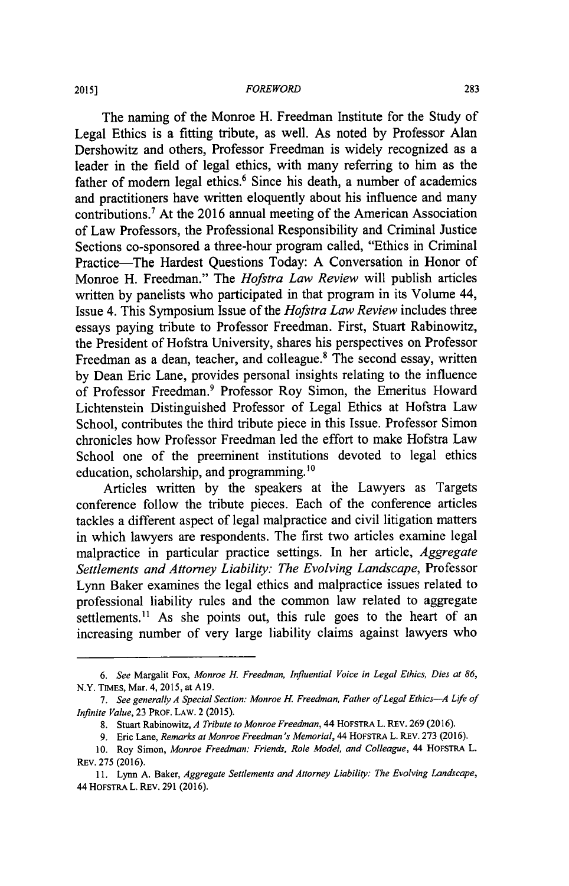The naming of the Monroe H. Freedman Institute for the Study of Legal Ethics is a fitting tribute, as well. As noted by Professor Alan Dershowitz and others, Professor Freedman is widely recognized as a leader in the field of legal ethics, with many referring to him as the father of modern legal ethics.<sup>6</sup> Since his death, a number of academics and practitioners have written eloquently about his influence and many contributions.' At the 2016 annual meeting of the American Association of Law Professors, the Professional Responsibility and Criminal Justice Sections co-sponsored a three-hour program called, "Ethics in Criminal Practice-The Hardest Questions Today: A Conversation in Honor of Monroe H. Freedman." The *Hofstra Law Review* will publish articles written by panelists who participated in that program in its Volume 44, Issue 4. This Symposium Issue of the *Hofstra Law Review* includes three essays paying tribute to Professor Freedman. First, Stuart Rabinowitz, the President of Hofstra University, shares his perspectives on Professor Freedman as a dean, teacher, and colleague.8 The second essay, written by Dean Eric Lane, provides personal insights relating to the influence of Professor Freedman.9 Professor Roy Simon, the Emeritus Howard Lichtenstein Distinguished Professor of Legal Ethics at Hofstra Law School, contributes the third tribute piece in this Issue. Professor Simon chronicles how Professor Freedman led the effort to make Hofstra Law School one of the preeminent institutions devoted to legal ethics education, scholarship, and programming.<sup>10</sup>

Articles written by the speakers at ihe Lawyers as Targets conference follow the tribute pieces. Each of the conference articles tackles a different aspect of legal malpractice and civil litigation matters in which lawyers are respondents. The first two articles examine legal malpractice in particular practice settings. In her article, *Aggregate Settlements and Attorney Liability: The Evolving Landscape,* Professor Lynn Baker examines the legal ethics and malpractice issues related to professional liability rules and the common law related to aggregate settlements.<sup>11</sup> As she points out, this rule goes to the heart of an increasing number of very large liability claims against lawyers who

*<sup>6.</sup> See* Margalit Fox, *Monroe H. Freedman, Influential Voice in Legal Ethics, Dies at 86,* N.Y. TIMES, Mar. 4, 2015, at A19.

*<sup>7.</sup> See generally A Special Section: Monroe H. Freedman, Father of Legal Ethics-A Life of Infinite Value,* 23 PROF. LAW. 2 (2015).

<sup>8.</sup> Stuart Rabinowitz, *A Tribute to Monroe Freedman,* 44 HOFSTRA L. REV. 269 (2016).

<sup>9.</sup> Eric Lane, *Remarks at Monroe Freedman's Memorial,* 44 HOFSTRA L. REV. 273 (2016).

<sup>10.</sup> Roy Simon, *Monroe Freedman: Friends, Role Model, and Colleague,* 44 HoFSTRA L. REV. 275 (2016).

<sup>11.</sup> Lynn A. Baker, *Aggregate Settlements and Attorney Liability: The Evolving Landscape,* 44 **HOFSTRA** L. REV. 291 (2016).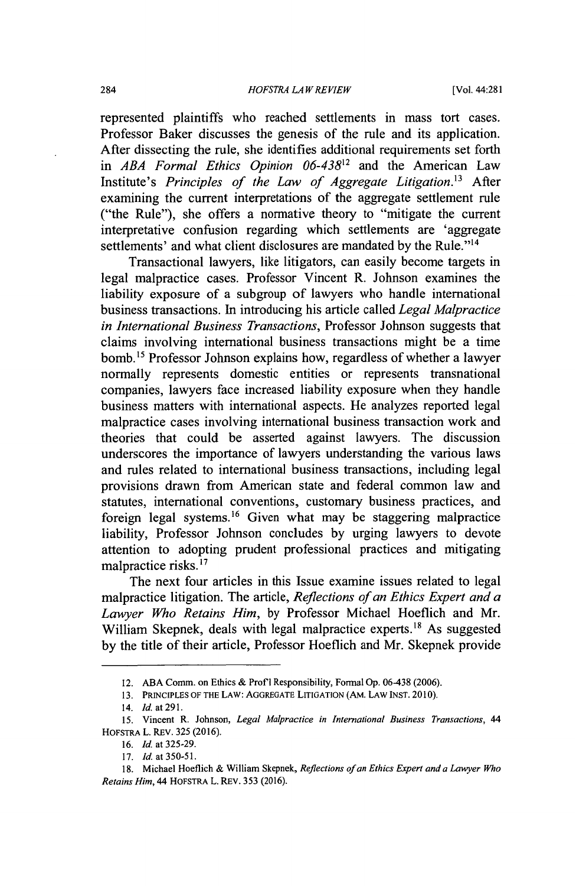represented plaintiffs who reached settlements in mass tort cases. Professor Baker discusses the genesis of the rule and its application. After dissecting the rule, she identifies additional requirements set forth in *ABA Formal Ethics Opinion 06-4382* and the American Law Institute's *Principles of the Law of Aggregate Litigation.*<sup>13</sup> After examining the current interpretations of the aggregate settlement rule ("the Rule"), she offers a normative theory to "mitigate the current interpretative confusion regarding which settlements are 'aggregate settlements' and what client disclosures are mandated by the Rule."<sup>14</sup>

Transactional lawyers, like litigators, can easily become targets in legal malpractice cases. Professor Vincent R. Johnson examines the liability exposure of a subgroup of lawyers who handle international business transactions. In introducing his article called *Legal Malpractice in International Business Transactions,* Professor Johnson suggests that claims involving international business transactions might be a time bomb.<sup>15</sup> Professor Johnson explains how, regardless of whether a lawyer normally represents domestic entities or represents transnational companies, lawyers face increased liability exposure when they handle business matters with international aspects. He analyzes reported legal malpractice cases involving international business transaction work and theories that could be asserted against lawyers. The discussion underscores the importance of lawyers understanding the various laws and rules related to international business transactions, including legal provisions drawn from American state and federal common law and statutes, international conventions, customary business practices, and foreign legal systems.<sup>16</sup> Given what may be staggering malpractice liability, Professor Johnson concludes by urging lawyers to devote attention to adopting prudent professional practices and mitigating malpractice risks.<sup>17</sup>

The next four articles in this Issue examine issues related to legal malpractice litigation. The article, *Reflections of an Ethics Expert and a Lawyer Who Retains Him,* by Professor Michael Hoeflich and Mr. William Skepnek, deals with legal malpractice experts.<sup>18</sup> As suggested by the title of their article, Professor Hoeflich and Mr. Skepnek provide

<sup>12.</sup> ABA Comm. on Ethics & Prof **I** Responsibility, Formal Op. 06-438 (2006).

<sup>13.</sup> PRINCIPLES OF THE LAW: AGGREGATE LITIGATION (AM. LAW INST. 2010).

<sup>14.</sup> Id. at **291.**

<sup>15.</sup> Vincent R. Johnson, *Legal Malpractice in International Business Transactions, 44* HOFSTRA L. REV. 325 (2016).

<sup>16.</sup> Id. at 325-29.

<sup>17.</sup> **Id.** at **350-51.**

<sup>18.</sup> Michael Hoeflich & William Skepnek, *Reflections of an Ethics Expert and a Lawyer Who Retains Him,* 44 HOFSTRA L. REV. 353 (2016).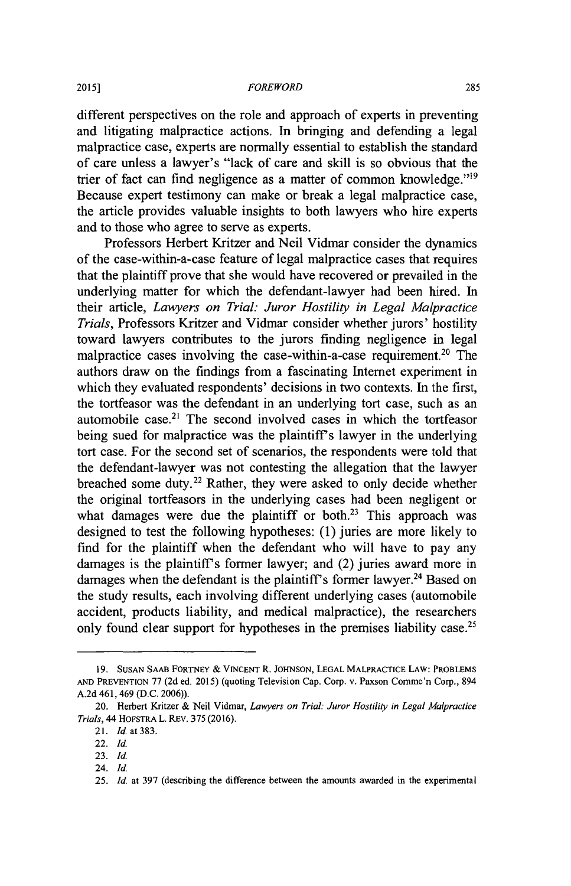#### *FOREWORD*

different perspectives on the role and approach of experts in preventing and litigating malpractice actions. In bringing and defending a legal malpractice case, experts are normally essential to establish the standard of care unless a lawyer's "lack of care and skill is so obvious that the trier of fact can find negligence as a matter of common knowledge."<sup>19</sup> Because expert testimony can make or break a legal malpractice case, the article provides valuable insights to both lawyers who hire experts and to those who agree to serve as experts.

Professors Herbert Kritzer and Neil Vidmar consider the dynamics of the case-within-a-case feature of legal malpractice cases that requires that the plaintiff prove that she would have recovered or prevailed in the underlying matter for which the defendant-lawyer had been hired. In their article, *Lawyers on Trial: Juror Hostility in Legal Malpractice Trials,* Professors Kritzer and Vidmar consider whether jurors' hostility toward lawyers contributes to the jurors finding negligence in legal malpractice cases involving the case-within-a-case requirement.<sup>20</sup> The authors draw on the findings from a fascinating Internet experiment in which they evaluated respondents' decisions in two contexts. In the first, the tortfeasor was the defendant in an underlying tort case, such as an automobile case.<sup>21</sup> The second involved cases in which the tortfeasor being sued for malpractice was the plaintiff's lawyer in the underlying tort case. For the second set of scenarios, the respondents were told that the defendant-lawyer was not contesting the allegation that the lawyer breached some duty.<sup>22</sup> Rather, they were asked to only decide whether the original tortfeasors in the underlying cases had been negligent or what damages were due the plaintiff or both.<sup>23</sup> This approach was designed to test the following hypotheses: (1) juries are more likely to find for the plaintiff when the defendant who will have to pay any damages is the plaintiff's former lawyer; and (2) juries award more in damages when the defendant is the plaintiff's former lawyer.<sup>24</sup> Based on the study results, each involving different underlying cases (automobile accident, products liability, and medical malpractice), the researchers only found clear support for hypotheses in the premises liability case.<sup>25</sup>

<sup>19.</sup> **SUSAN SAAB** FORTNEY & **VINCENT** R. **JOHNSON, LEGAL** MALPRACTICE LAW: PROBLEMS **AND** PREVENTION 77 (2d ed. 2015) (quoting Television Cap. Corp. v. Paxson Comme'n Corp., 894 A.2d 461, 469 (D.C. 2006)).

<sup>20.</sup> Herbert Kritzer & Neil Vidmar, *Lawyers on Trial: Juror Hostility in Legal Malpractice Trials,* 44 HOFSTRA L. REV. 375 (2016).

<sup>21.</sup> *Id.* at 383.

<sup>22.</sup> *Id.*

<sup>23.</sup> **Id.**

<sup>24.</sup> **Id.**

<sup>25.</sup> Id. at 397 (describing the difference between the amounts awarded in the experimental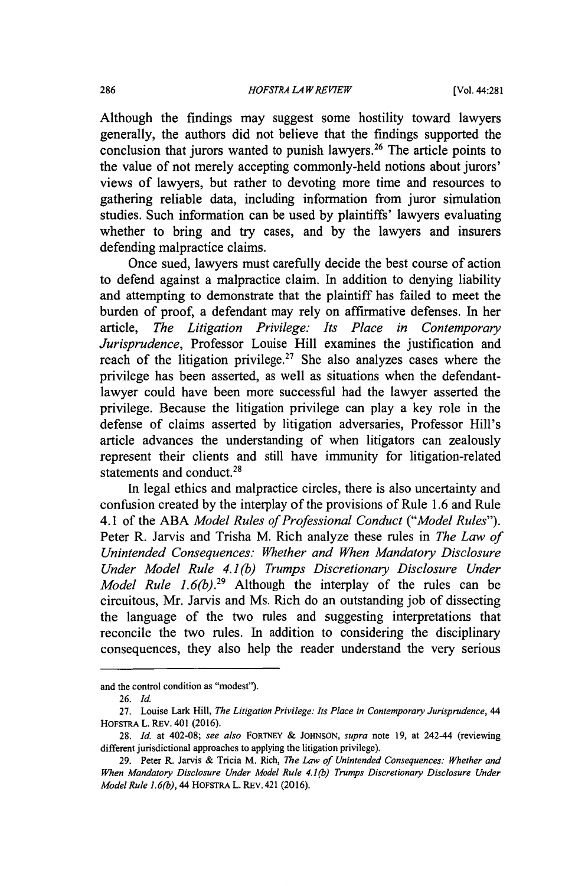Although the findings may suggest some hostility toward lawyers generally, the authors did not believe that the findings supported the conclusion that jurors wanted to punish lawyers.<sup>26</sup> The article points to the value of not merely accepting commonly-held notions about jurors' views of lawyers, but rather to devoting more time and resources to gathering reliable data, including information from juror simulation studies. Such information can be used by plaintiffs' lawyers evaluating whether to bring and try cases, and by the lawyers and insurers defending malpractice claims.

Once sued, lawyers must carefully decide the best course of action to defend against a malpractice claim. In addition to denying liability and attempting to demonstrate that the plaintiff has failed to meet the burden of proof, a defendant may rely on affirmative defenses. In her article, *The Litigation Privilege: Its Place in Contemporary Jurisprudence,* Professor Louise Hill examines the justification and reach of the litigation privilege.<sup>27</sup> She also analyzes cases where the privilege has been asserted, as well as situations when the defendantlawyer could have been more successful had the lawyer asserted the privilege. Because the litigation privilege can play a key role in the defense of claims asserted by litigation adversaries, Professor Hill's article advances the understanding of when litigators can zealously represent their clients and still have immunity for litigation-related statements and conduct.<sup>28</sup>

In legal ethics and malpractice circles, there is also uncertainty and confusion created by the interplay of the provisions of Rule 1.6 and Rule 4.1 of the ABA *Model Rules of Professional Conduct ("Model Rules").* Peter R. Jarvis and Trisha M. Rich analyze these rules in *The Law of Unintended Consequences: Whether and When Mandatory Disclosure Under Model Rule 4.1(b) Trumps Discretionary Disclosure Under Model Rule 1.6(b).29* Although the interplay of the rules can be circuitous, Mr. Jarvis and Ms. Rich do an outstanding job of dissecting the language of the two rules and suggesting interpretations that reconcile the two rules. In addition to considering the disciplinary consequences, they also help the reader understand the very serious

and the control condition as "modest").

<sup>26.</sup> Id.

<sup>27.</sup> Louise Lark Hill, *The Litigation Privilege: Its Place in Contemporary Jurisprudence, 44* HOFSTRA L. REV. 401 (2016).

<sup>28.</sup> *Id.* at 402-08; *see also* FORTNEY & JOHNSON, *supra* note 19, at 242-44 (reviewing different jurisdictional approaches to applying the litigation privilege).

<sup>29.</sup> Peter R. Jarvis & Tricia M. Rich, *The Law of Unintended Consequences: Whether and When Mandatory Disclosure Under Model Rule 4.1(b) Trumps Discretionary Disclosure Under Model Rule 1.6(b), 44* HOFSTRA L. REv. 421 (2016).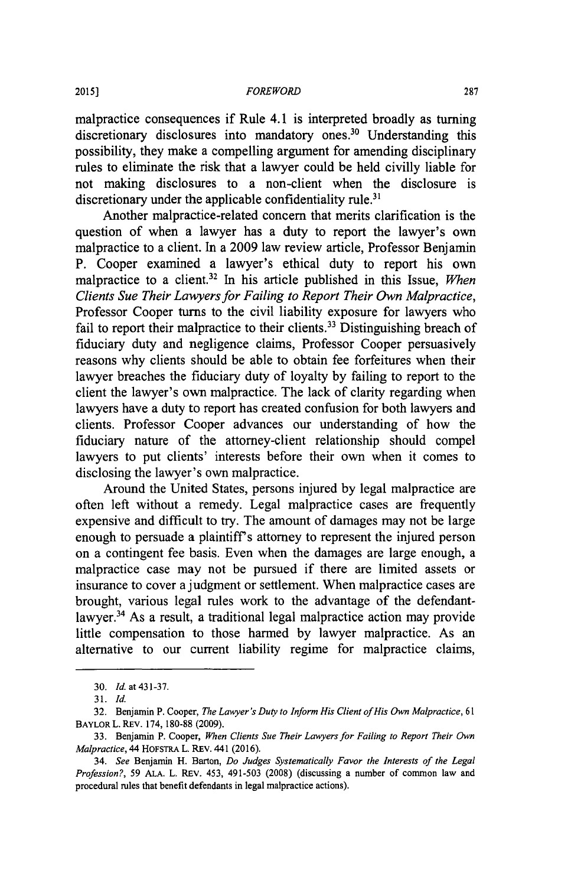#### *FOREWORD*

malpractice consequences if Rule 4.1 is interpreted broadly as turning discretionary disclosures into mandatory ones.<sup>30</sup> Understanding this possibility, they make a compelling argument for amending disciplinary rules to eliminate the risk that a lawyer could be held civilly liable for not making disclosures to a non-client when the disclosure is discretionary under the applicable confidentiality rule.<sup>31</sup>

Another malpractice-related concern that merits clarification is the question of when a lawyer has a duty to report the lawyer's own malpractice to a client. In a 2009 law review article, Professor Benjamin P. Cooper examined a lawyer's ethical duty to report his own malpractice to a client.32 In his article published in this Issue, *When Clients Sue Their Lawyers for Failing to Report Their Own Malpractice,* Professor Cooper turns to the civil liability exposure for lawyers who fail to report their malpractice to their clients.<sup>33</sup> Distinguishing breach of fiduciary duty and negligence claims, Professor Cooper persuasively reasons why clients should be able to obtain fee forfeitures when their lawyer breaches the fiduciary duty of loyalty by failing to report to the client the lawyer's own malpractice. The lack of clarity regarding when lawyers have a duty to report has created confusion for both lawyers and clients. Professor Cooper advances our understanding of how the fiduciary nature of the attorney-client relationship should compel lawyers to put clients' interests before their own when it comes to disclosing the lawyer's own malpractice.

Around the United States, persons injured by legal malpractice are often left without a remedy. Legal malpractice cases are frequently expensive and difficult to try. The amount of damages may not be large enough to persuade a plaintiff's attorney to represent the injured person on a contingent fee basis. Even when the damages are large enough, a malpractice case may not be pursued if there are limited assets or insurance to cover a judgment or settlement. When malpractice cases are brought, various legal rules work to the advantage of the defendantlawyer.<sup>34</sup> As a result, a traditional legal malpractice action may provide little compensation to those harmed by lawyer malpractice. As an alternative to our current liability regime for malpractice claims,

<sup>30.</sup> *Id.* at431-37.

<sup>31.</sup> Id.

<sup>32.</sup> Benjamin P. Cooper, *The Lawyer's Duty to Inform His Client of His Own Malpractice, 61* BAYLOR L. REV. 174, 180-88 (2009).

<sup>33.</sup> Benjamin P. Cooper, *When Clients Sue Their Lawyers for Failing to Report Their Own Malpractice,* 44 HOFSTRA L. REV. 441 (2016).

<sup>34.</sup> *See* Benjamin H. Barton, *Do Judges Systematically Favor the Interests of the Legal Profession?,* 59 ALA. L. REV. 453, 491-503 (2008) (discussing a number of common law and procedural rules that benefit defendants in legal malpractice actions).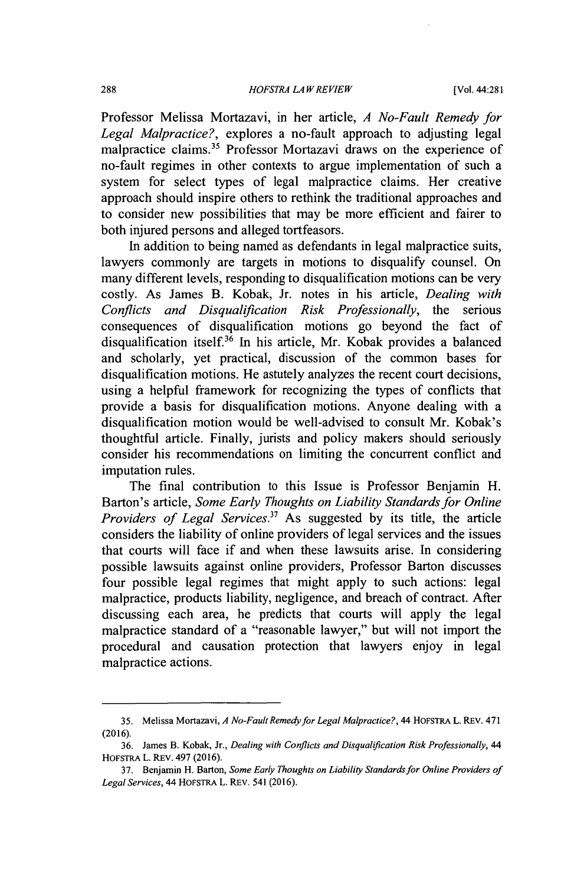Professor Melissa Mortazavi, in her article, *A No-Fault Remedy for Legal Malpractice?,* explores a no-fault approach to adjusting legal malpractice claims.<sup>35</sup> Professor Mortazavi draws on the experience of no-fault regimes in other contexts to argue implementation of such a system for select types of legal malpractice claims. Her creative approach should inspire others to rethink the traditional approaches and to consider new possibilities that may be more efficient and fairer to both injured persons and alleged tortfeasors.

In addition to being named as defendants in legal malpractice suits, lawyers commonly are targets in motions to disqualify counsel. On many different levels, responding to disqualification motions can be very costly. As James B. Kobak, Jr. notes in his article, *Dealing with Conflicts and Disqualification Risk Professionally,* the serious consequences of disqualification motions go beyond the fact of disqualification itself.36 In his article, Mr. Kobak provides a balanced and scholarly, yet practical, discussion of the common bases for disqualification motions. He astutely analyzes the recent court decisions, using a helpful framework for recognizing the types of conflicts that provide a basis for disqualification motions. Anyone dealing with a disqualification motion would be well-advised to consult Mr. Kobak's thoughtful article. Finally, jurists and policy makers should seriously consider his recommendations on limiting the concurrent conflict and imputation rules.

The final contribution to this Issue is Professor Benjamin H. Barton's article, *Some Early Thoughts on Liability Standards for Online Providers of Legal Services."* As suggested by its title, the article considers the liability of online providers of legal services and the issues that courts will face if and when these lawsuits arise. In considering possible lawsuits against online providers, Professor Barton discusses four possible legal regimes that might apply to such actions: legal malpractice, products liability, negligence, and breach of contract. After discussing each area, he predicts that courts will apply the legal malpractice standard of a "reasonable lawyer," but will not import the procedural and causation protection that lawyers enjoy in legal malpractice actions.

**<sup>35.</sup>** Melissa Mortazavi, *A No-Fault Remedy for Legal Malpractice?,* 44 HOFSTRA L. REV. 471 (2016).

<sup>36.</sup> James B. Kobak, Jr., *Dealing with Conflicts and Disqualification Risk Professionally, 44* HOFSTRA L. REV. 497 (2016).

<sup>37.</sup> Benjamin H. Barton, *Some Early Thoughts on Liability Standards for Online Providers of Legal Services,* 44 HoFSTRA L. REV. 541 (2016).